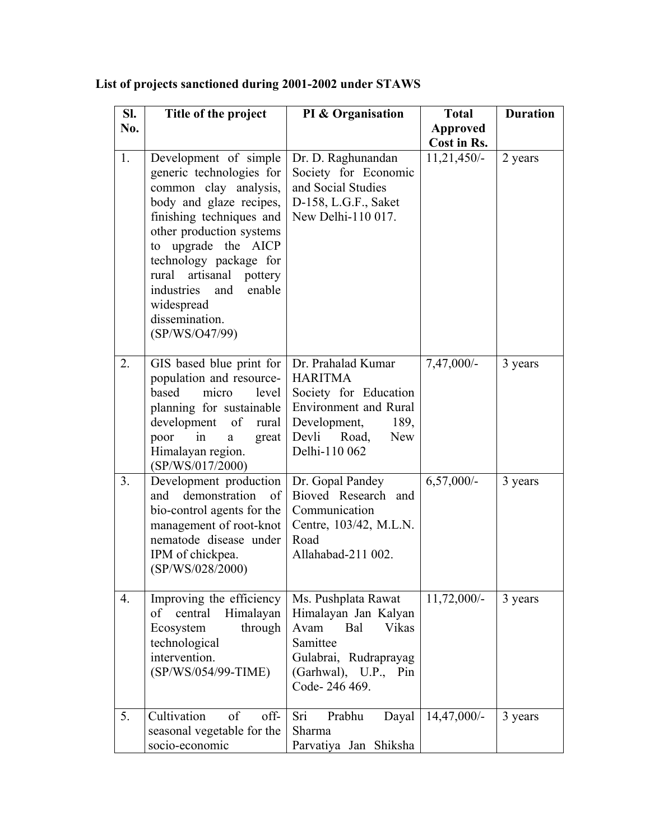| SI.            | Title of the project                                                                                                                                                                                                                                                                                                                | PI & Organisation                                                                                                                                                      | <b>Total</b>    | <b>Duration</b> |
|----------------|-------------------------------------------------------------------------------------------------------------------------------------------------------------------------------------------------------------------------------------------------------------------------------------------------------------------------------------|------------------------------------------------------------------------------------------------------------------------------------------------------------------------|-----------------|-----------------|
| No.            |                                                                                                                                                                                                                                                                                                                                     |                                                                                                                                                                        | <b>Approved</b> |                 |
|                |                                                                                                                                                                                                                                                                                                                                     |                                                                                                                                                                        | Cost in Rs.     |                 |
| 1.             | Development of simple<br>generic technologies for<br>common clay analysis,<br>body and glaze recipes,<br>finishing techniques and<br>other production systems<br>upgrade the AICP<br>to<br>technology package for<br>artisanal<br>rural<br>pottery<br>industries<br>and<br>enable<br>widespread<br>dissemination.<br>(SP/WS/O47/99) | Dr. D. Raghunandan<br>Society for Economic<br>and Social Studies<br>D-158, L.G.F., Saket<br>New Delhi-110 017.                                                         | $11,21,450/-$   | 2 years         |
| 2.             | GIS based blue print for<br>population and resource-<br>based<br>micro<br>level<br>planning for sustainable<br>development of<br>rural<br>poor<br>in<br>great<br>a<br>Himalayan region.<br>(SP/WS/017/2000)                                                                                                                         | Dr. Prahalad Kumar<br><b>HARITMA</b><br>Society for Education<br><b>Environment</b> and Rural<br>Development,<br>189,<br>Devli<br>Road,<br><b>New</b><br>Delhi-110 062 | 7,47,000/-      | 3 years         |
| 3 <sub>1</sub> | Development production<br>demonstration<br>of<br>and<br>bio-control agents for the<br>management of root-knot<br>nematode disease under<br>IPM of chickpea.<br>(SP/WS/028/2000)                                                                                                                                                     | Dr. Gopal Pandey<br>Bioved Research and<br>Communication<br>Centre, 103/42, M.L.N.<br>Road<br>Allahabad-211 002.                                                       | $6,57,000/-$    | 3 years         |
| 4.             | Improving the efficiency<br>central<br>Himalayan<br>of<br>through<br>Ecosystem<br>technological<br>intervention.<br>(SP/WS/054/99-TIME)                                                                                                                                                                                             | Ms. Pushplata Rawat<br>Himalayan Jan Kalyan<br>Avam<br>Bal<br>Vikas<br>Samittee<br>Gulabrai, Rudraprayag<br>(Garhwal), U.P., Pin<br>Code-246 469.                      | $11,72,000/-$   | 3 years         |
| 5.             | Cultivation<br>of<br>off-<br>seasonal vegetable for the<br>socio-economic                                                                                                                                                                                                                                                           | Prabhu<br>Sri<br>Dayal<br>Sharma<br>Parvatiya Jan Shiksha                                                                                                              | $14,47,000/-$   | 3 years         |

## **List of projects sanctioned during 2001-2002 under STAWS**